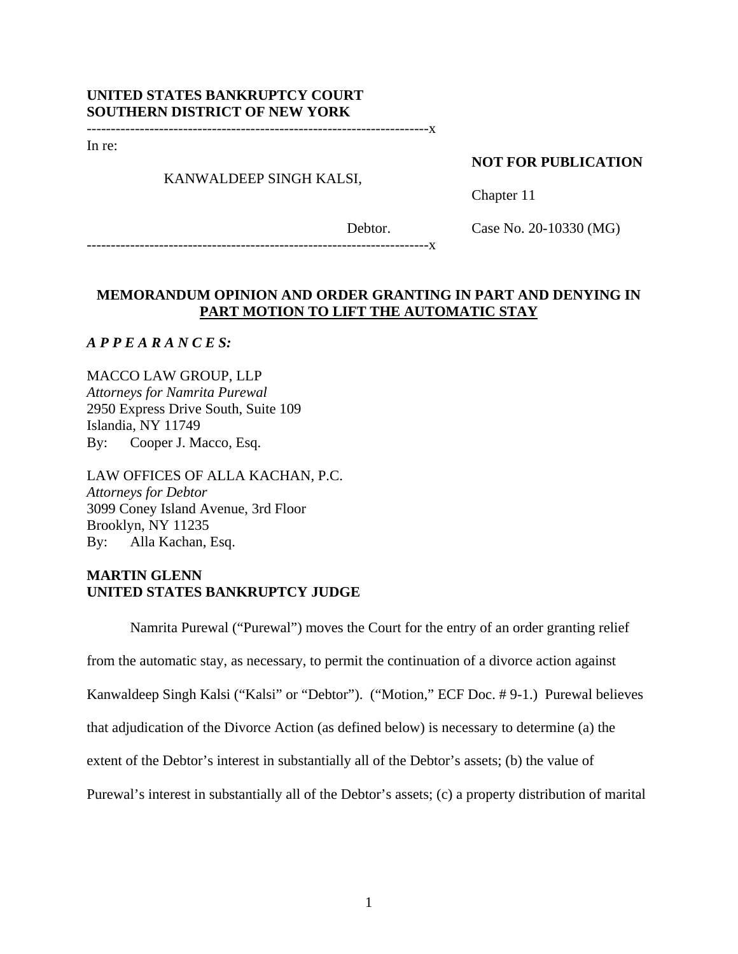## **UNITED STATES BANKRUPTCY COURT SOUTHERN DISTRICT OF NEW YORK**

-----------------------------------------------------------------------x

In re:

## KANWALDEEP SINGH KALSI,

## **NOT FOR PUBLICATION**

Chapter 11

Debtor.

Case No. 20-10330 (MG)

-----------------------------------------------------------------------x

# **MEMORANDUM OPINION AND ORDER GRANTING IN PART AND DENYING IN PART MOTION TO LIFT THE AUTOMATIC STAY**

*A P P E A R A N C E S:* 

MACCO LAW GROUP, LLP *Attorneys for Namrita Purewal*  2950 Express Drive South, Suite 109 Islandia, NY 11749 By: Cooper J. Macco, Esq.

LAW OFFICES OF ALLA KACHAN, P.C. *Attorneys for Debtor*  3099 Coney Island Avenue, 3rd Floor Brooklyn, NY 11235 By: Alla Kachan, Esq.

## **MARTIN GLENN UNITED STATES BANKRUPTCY JUDGE**

Namrita Purewal ("Purewal") moves the Court for the entry of an order granting relief

from the automatic stay, as necessary, to permit the continuation of a divorce action against

Kanwaldeep Singh Kalsi ("Kalsi" or "Debtor"). ("Motion," ECF Doc. # 9-1.) Purewal believes

that adjudication of the Divorce Action (as defined below) is necessary to determine (a) the

extent of the Debtor's interest in substantially all of the Debtor's assets; (b) the value of

Purewal's interest in substantially all of the Debtor's assets; (c) a property distribution of marital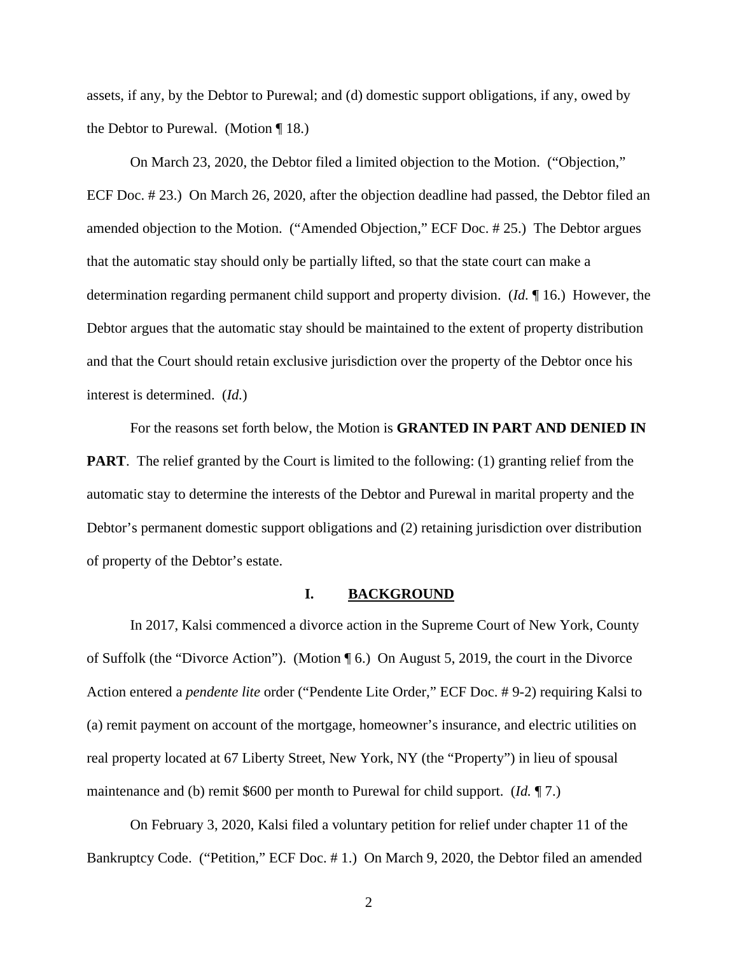assets, if any, by the Debtor to Purewal; and (d) domestic support obligations, if any, owed by the Debtor to Purewal. (Motion ¶ 18.)

On March 23, 2020, the Debtor filed a limited objection to the Motion. ("Objection," ECF Doc. # 23.) On March 26, 2020, after the objection deadline had passed, the Debtor filed an amended objection to the Motion. ("Amended Objection," ECF Doc. # 25.) The Debtor argues that the automatic stay should only be partially lifted, so that the state court can make a determination regarding permanent child support and property division. (*Id.* ¶ 16.) However, the Debtor argues that the automatic stay should be maintained to the extent of property distribution and that the Court should retain exclusive jurisdiction over the property of the Debtor once his interest is determined. (*Id.*)

For the reasons set forth below, the Motion is **GRANTED IN PART AND DENIED IN PART**. The relief granted by the Court is limited to the following: (1) granting relief from the automatic stay to determine the interests of the Debtor and Purewal in marital property and the Debtor's permanent domestic support obligations and (2) retaining jurisdiction over distribution of property of the Debtor's estate.

### **I. BACKGROUND**

In 2017, Kalsi commenced a divorce action in the Supreme Court of New York, County of Suffolk (the "Divorce Action"). (Motion ¶ 6.) On August 5, 2019, the court in the Divorce Action entered a *pendente lite* order ("Pendente Lite Order," ECF Doc. # 9-2) requiring Kalsi to (a) remit payment on account of the mortgage, homeowner's insurance, and electric utilities on real property located at 67 Liberty Street, New York, NY (the "Property") in lieu of spousal maintenance and (b) remit \$600 per month to Purewal for child support. (*Id.* ¶ 7.)

On February 3, 2020, Kalsi filed a voluntary petition for relief under chapter 11 of the Bankruptcy Code. ("Petition," ECF Doc. # 1.) On March 9, 2020, the Debtor filed an amended

2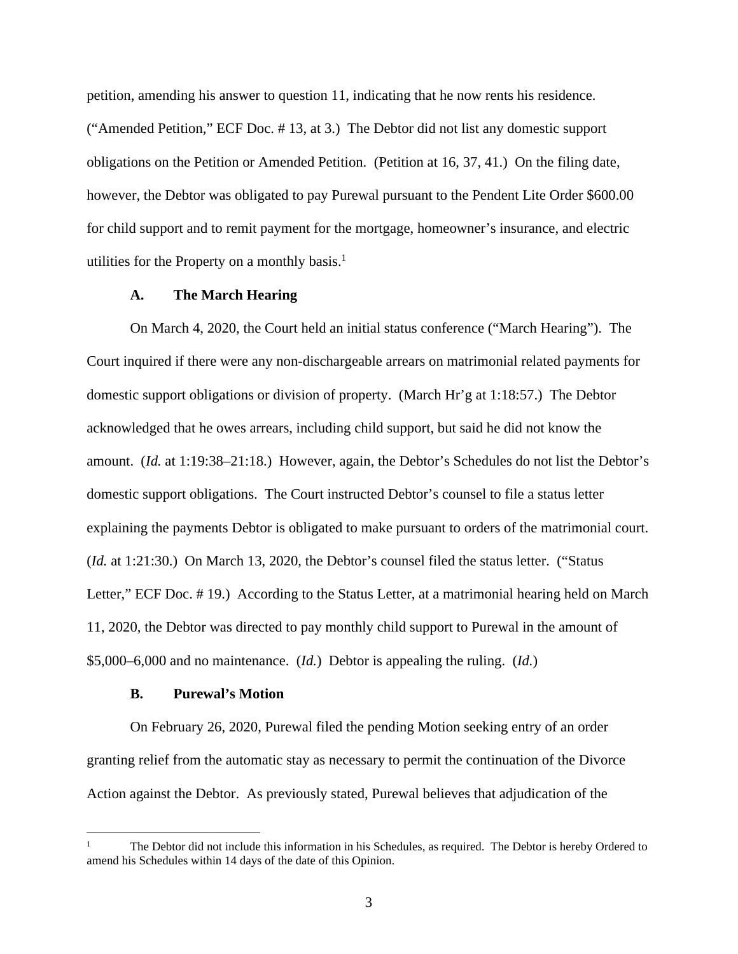petition, amending his answer to question 11, indicating that he now rents his residence. ("Amended Petition," ECF Doc. # 13, at 3.) The Debtor did not list any domestic support obligations on the Petition or Amended Petition. (Petition at 16, 37, 41.) On the filing date, however, the Debtor was obligated to pay Purewal pursuant to the Pendent Lite Order \$600.00 for child support and to remit payment for the mortgage, homeowner's insurance, and electric utilities for the Property on a monthly basis. $<sup>1</sup>$ </sup>

### **A. The March Hearing**

On March 4, 2020, the Court held an initial status conference ("March Hearing"). The Court inquired if there were any non-dischargeable arrears on matrimonial related payments for domestic support obligations or division of property. (March Hr'g at 1:18:57.) The Debtor acknowledged that he owes arrears, including child support, but said he did not know the amount. (*Id.* at 1:19:38–21:18.) However, again, the Debtor's Schedules do not list the Debtor's domestic support obligations. The Court instructed Debtor's counsel to file a status letter explaining the payments Debtor is obligated to make pursuant to orders of the matrimonial court. (*Id.* at 1:21:30.) On March 13, 2020, the Debtor's counsel filed the status letter. ("Status Letter," ECF Doc. # 19.) According to the Status Letter, at a matrimonial hearing held on March 11, 2020, the Debtor was directed to pay monthly child support to Purewal in the amount of \$5,000–6,000 and no maintenance. (*Id.*) Debtor is appealing the ruling. (*Id.*)

#### **B. Purewal's Motion**

On February 26, 2020, Purewal filed the pending Motion seeking entry of an order granting relief from the automatic stay as necessary to permit the continuation of the Divorce Action against the Debtor. As previously stated, Purewal believes that adjudication of the

<sup>1</sup> The Debtor did not include this information in his Schedules, as required. The Debtor is hereby Ordered to amend his Schedules within 14 days of the date of this Opinion.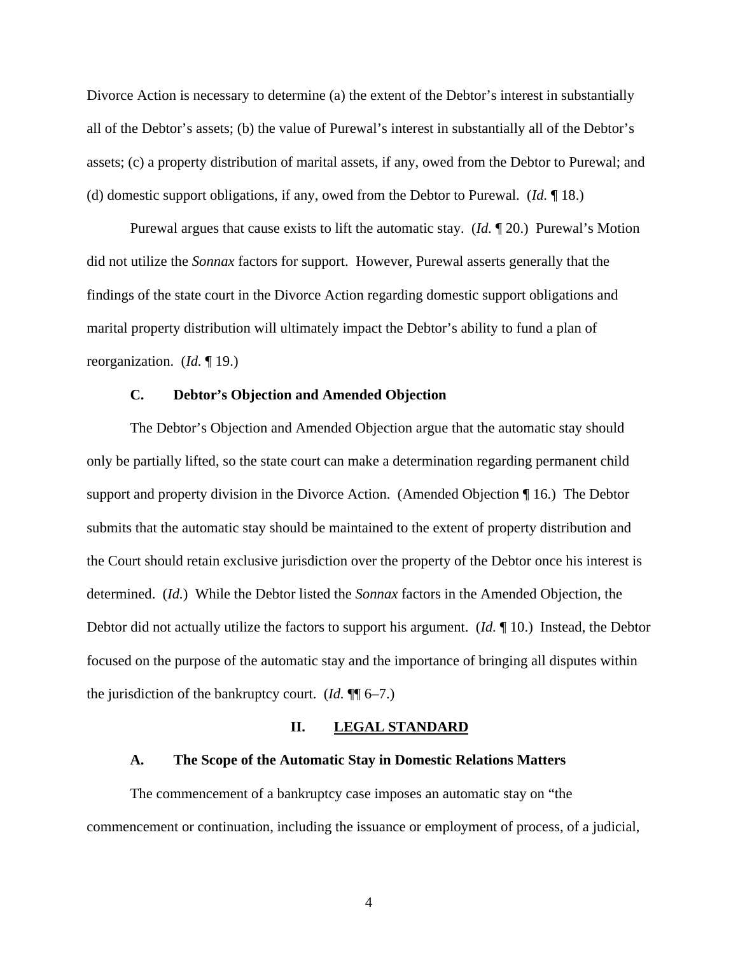Divorce Action is necessary to determine (a) the extent of the Debtor's interest in substantially all of the Debtor's assets; (b) the value of Purewal's interest in substantially all of the Debtor's assets; (c) a property distribution of marital assets, if any, owed from the Debtor to Purewal; and (d) domestic support obligations, if any, owed from the Debtor to Purewal. (*Id.* ¶ 18.)

Purewal argues that cause exists to lift the automatic stay. (*Id.* ¶ 20.) Purewal's Motion did not utilize the *Sonnax* factors for support. However, Purewal asserts generally that the findings of the state court in the Divorce Action regarding domestic support obligations and marital property distribution will ultimately impact the Debtor's ability to fund a plan of reorganization. (*Id.* ¶ 19.)

## **C. Debtor's Objection and Amended Objection**

The Debtor's Objection and Amended Objection argue that the automatic stay should only be partially lifted, so the state court can make a determination regarding permanent child support and property division in the Divorce Action. (Amended Objection ¶ 16.) The Debtor submits that the automatic stay should be maintained to the extent of property distribution and the Court should retain exclusive jurisdiction over the property of the Debtor once his interest is determined. (*Id.*) While the Debtor listed the *Sonnax* factors in the Amended Objection, the Debtor did not actually utilize the factors to support his argument. (*Id.* ¶ 10.) Instead, the Debtor focused on the purpose of the automatic stay and the importance of bringing all disputes within the jurisdiction of the bankruptcy court. (*Id.* ¶¶ 6–7.)

#### **II. LEGAL STANDARD**

#### **A. The Scope of the Automatic Stay in Domestic Relations Matters**

The commencement of a bankruptcy case imposes an automatic stay on "the commencement or continuation, including the issuance or employment of process, of a judicial,

4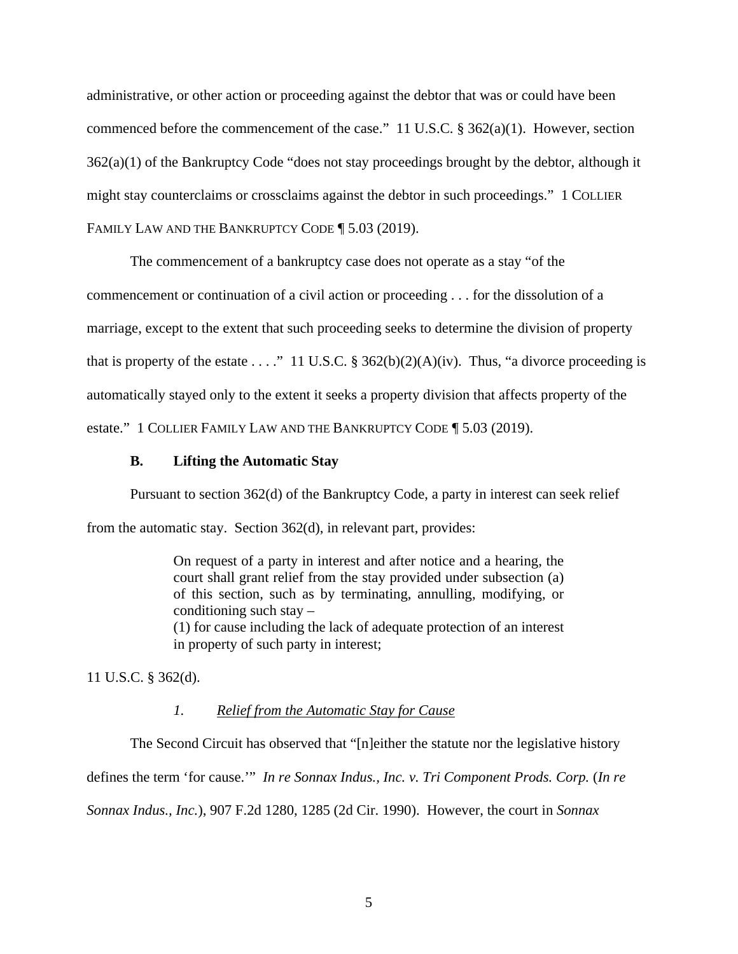administrative, or other action or proceeding against the debtor that was or could have been commenced before the commencement of the case." 11 U.S.C. § 362(a)(1). However, section  $362(a)(1)$  of the Bankruptcy Code "does not stay proceedings brought by the debtor, although it might stay counterclaims or crossclaims against the debtor in such proceedings." 1 COLLIER FAMILY LAW AND THE BANKRUPTCY CODE **[5.03 (2019)**.

The commencement of a bankruptcy case does not operate as a stay "of the

commencement or continuation of a civil action or proceeding . . . for the dissolution of a

marriage, except to the extent that such proceeding seeks to determine the division of property

that is property of the estate . . . ." 11 U.S.C. § 362(b)(2)(A)(iv). Thus, "a divorce proceeding is

automatically stayed only to the extent it seeks a property division that affects property of the

estate." 1 COLLIER FAMILY LAW AND THE BANKRUPTCY CODE ¶ 5.03 (2019).

### **B. Lifting the Automatic Stay**

Pursuant to section 362(d) of the Bankruptcy Code, a party in interest can seek relief from the automatic stay. Section 362(d), in relevant part, provides:

> On request of a party in interest and after notice and a hearing, the court shall grant relief from the stay provided under subsection (a) of this section, such as by terminating, annulling, modifying, or conditioning such stay –

> (1) for cause including the lack of adequate protection of an interest in property of such party in interest;

11 U.S.C. § 362(d).

## *1. Relief from the Automatic Stay for Cause*

The Second Circuit has observed that "[n]either the statute nor the legislative history defines the term 'for cause.'" *In re Sonnax Indus., Inc. v. Tri Component Prods. Corp.* (*In re Sonnax Indus., Inc.*), 907 F.2d 1280, 1285 (2d Cir. 1990). However, the court in *Sonnax*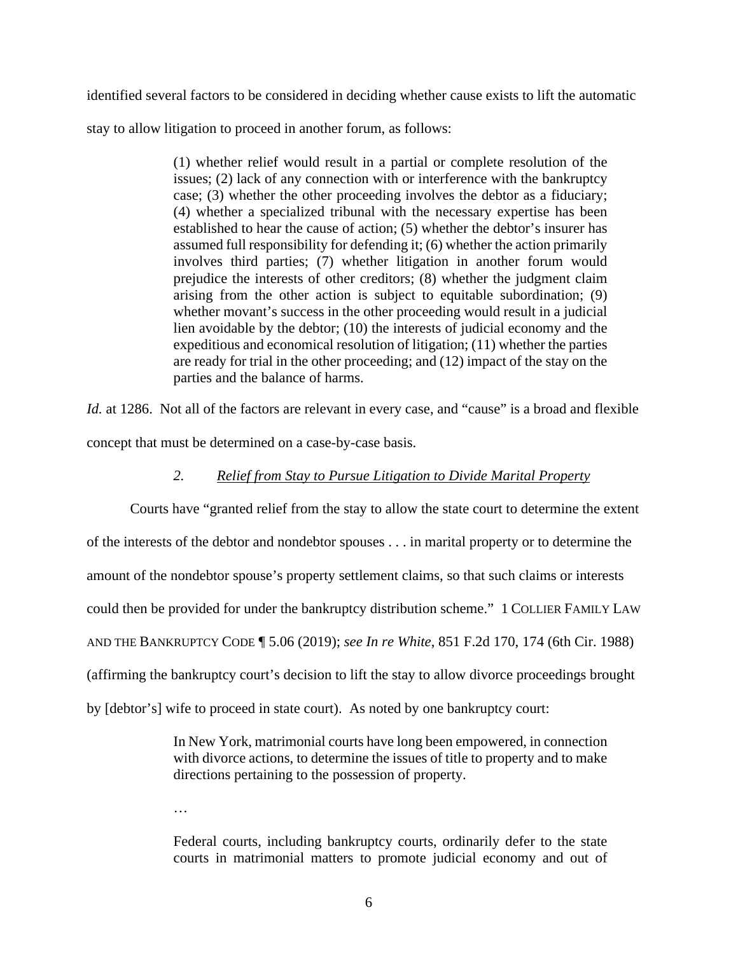identified several factors to be considered in deciding whether cause exists to lift the automatic

stay to allow litigation to proceed in another forum, as follows:

(1) whether relief would result in a partial or complete resolution of the issues; (2) lack of any connection with or interference with the bankruptcy case; (3) whether the other proceeding involves the debtor as a fiduciary; (4) whether a specialized tribunal with the necessary expertise has been established to hear the cause of action; (5) whether the debtor's insurer has assumed full responsibility for defending it; (6) whether the action primarily involves third parties; (7) whether litigation in another forum would prejudice the interests of other creditors; (8) whether the judgment claim arising from the other action is subject to equitable subordination; (9) whether movant's success in the other proceeding would result in a judicial lien avoidable by the debtor; (10) the interests of judicial economy and the expeditious and economical resolution of litigation; (11) whether the parties are ready for trial in the other proceeding; and (12) impact of the stay on the parties and the balance of harms.

*Id.* at 1286. Not all of the factors are relevant in every case, and "cause" is a broad and flexible concept that must be determined on a case-by-case basis.

# *2. Relief from Stay to Pursue Litigation to Divide Marital Property*

Courts have "granted relief from the stay to allow the state court to determine the extent of the interests of the debtor and nondebtor spouses . . . in marital property or to determine the amount of the nondebtor spouse's property settlement claims, so that such claims or interests could then be provided for under the bankruptcy distribution scheme." 1 COLLIER FAMILY LAW AND THE BANKRUPTCY CODE ¶ 5.06 (2019); *see In re White*, 851 F.2d 170, 174 (6th Cir. 1988) (affirming the bankruptcy court's decision to lift the stay to allow divorce proceedings brought by [debtor's] wife to proceed in state court). As noted by one bankruptcy court:

> In New York, matrimonial courts have long been empowered, in connection with divorce actions, to determine the issues of title to property and to make directions pertaining to the possession of property.

…

Federal courts, including bankruptcy courts, ordinarily defer to the state courts in matrimonial matters to promote judicial economy and out of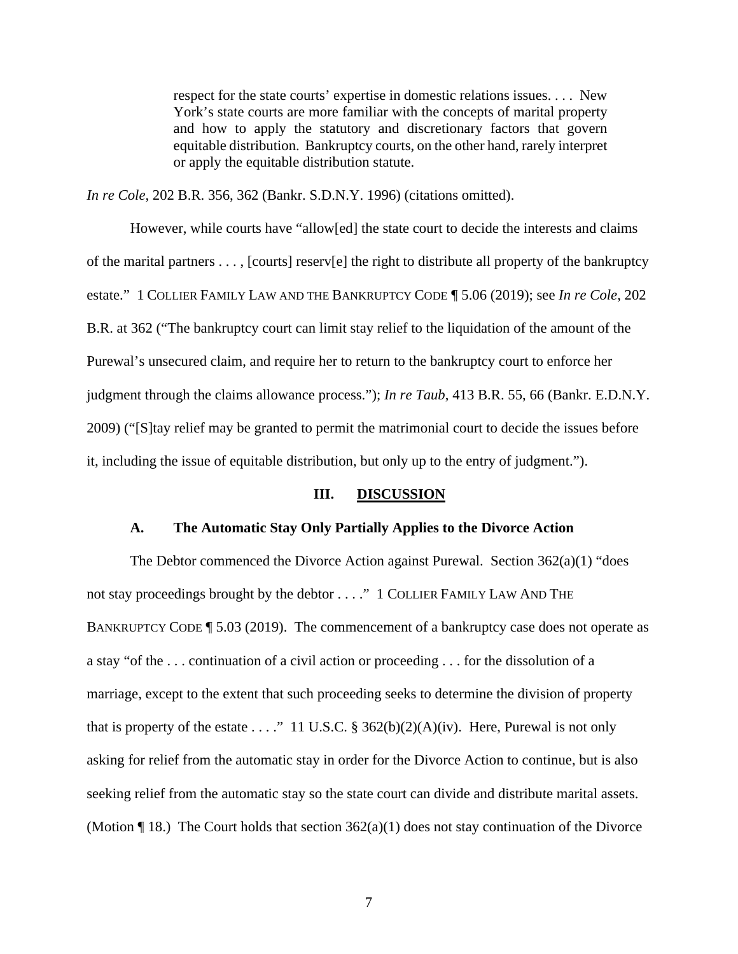respect for the state courts' expertise in domestic relations issues. . . . New York's state courts are more familiar with the concepts of marital property and how to apply the statutory and discretionary factors that govern equitable distribution. Bankruptcy courts, on the other hand, rarely interpret or apply the equitable distribution statute.

*In re Cole*, 202 B.R. 356, 362 (Bankr. S.D.N.Y. 1996) (citations omitted).

 However, while courts have "allow[ed] the state court to decide the interests and claims of the marital partners . . . , [courts] reserv[e] the right to distribute all property of the bankruptcy estate." 1 COLLIER FAMILY LAW AND THE BANKRUPTCY CODE ¶ 5.06 (2019); see *In re Cole*, 202 B.R. at 362 ("The bankruptcy court can limit stay relief to the liquidation of the amount of the Purewal's unsecured claim, and require her to return to the bankruptcy court to enforce her judgment through the claims allowance process."); *In re Taub*, 413 B.R. 55, 66 (Bankr. E.D.N.Y. 2009) ("[S]tay relief may be granted to permit the matrimonial court to decide the issues before it, including the issue of equitable distribution, but only up to the entry of judgment.").

### **III. DISCUSSION**

### **A. The Automatic Stay Only Partially Applies to the Divorce Action**

The Debtor commenced the Divorce Action against Purewal. Section 362(a)(1) "does not stay proceedings brought by the debtor . . . ." 1 COLLIER FAMILY LAW AND THE BANKRUPTCY CODE ¶ 5.03 (2019). The commencement of a bankruptcy case does not operate as a stay "of the . . . continuation of a civil action or proceeding . . . for the dissolution of a marriage, except to the extent that such proceeding seeks to determine the division of property that is property of the estate . . . ." 11 U.S.C. § 362(b)(2)(A)(iv). Here, Purewal is not only asking for relief from the automatic stay in order for the Divorce Action to continue, but is also seeking relief from the automatic stay so the state court can divide and distribute marital assets. (Motion  $\P$  18.) The Court holds that section 362(a)(1) does not stay continuation of the Divorce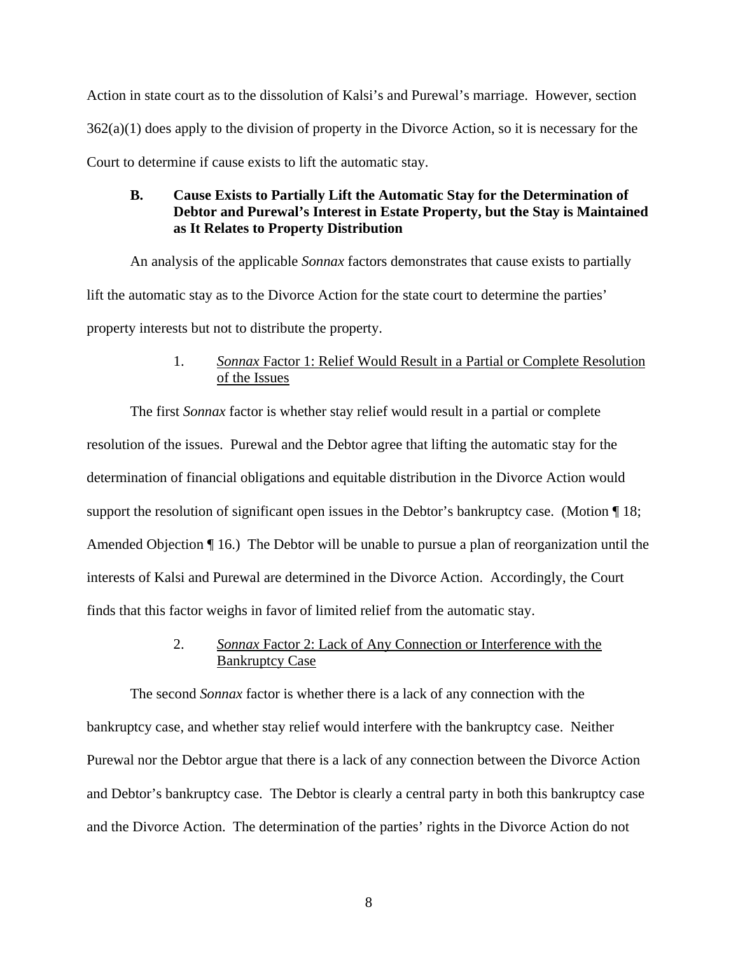Action in state court as to the dissolution of Kalsi's and Purewal's marriage. However, section 362(a)(1) does apply to the division of property in the Divorce Action, so it is necessary for the Court to determine if cause exists to lift the automatic stay.

# **B. Cause Exists to Partially Lift the Automatic Stay for the Determination of Debtor and Purewal's Interest in Estate Property, but the Stay is Maintained as It Relates to Property Distribution**

An analysis of the applicable *Sonnax* factors demonstrates that cause exists to partially lift the automatic stay as to the Divorce Action for the state court to determine the parties' property interests but not to distribute the property.

# 1. *Sonnax* Factor 1: Relief Would Result in a Partial or Complete Resolution of the Issues

The first *Sonnax* factor is whether stay relief would result in a partial or complete resolution of the issues. Purewal and the Debtor agree that lifting the automatic stay for the determination of financial obligations and equitable distribution in the Divorce Action would support the resolution of significant open issues in the Debtor's bankruptcy case. (Motion  $\P$  18; Amended Objection ¶ 16.) The Debtor will be unable to pursue a plan of reorganization until the interests of Kalsi and Purewal are determined in the Divorce Action. Accordingly, the Court finds that this factor weighs in favor of limited relief from the automatic stay.

# 2. *Sonnax* Factor 2: Lack of Any Connection or Interference with the Bankruptcy Case

The second *Sonnax* factor is whether there is a lack of any connection with the bankruptcy case, and whether stay relief would interfere with the bankruptcy case. Neither Purewal nor the Debtor argue that there is a lack of any connection between the Divorce Action and Debtor's bankruptcy case. The Debtor is clearly a central party in both this bankruptcy case and the Divorce Action. The determination of the parties' rights in the Divorce Action do not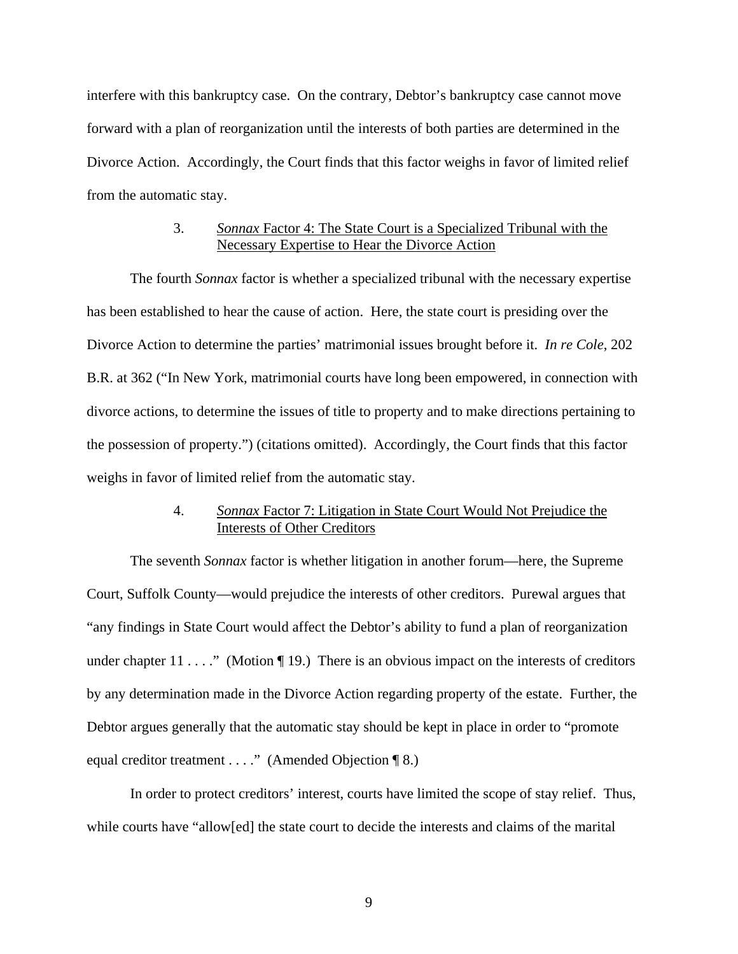interfere with this bankruptcy case. On the contrary, Debtor's bankruptcy case cannot move forward with a plan of reorganization until the interests of both parties are determined in the Divorce Action. Accordingly, the Court finds that this factor weighs in favor of limited relief from the automatic stay.

## 3. *Sonnax* Factor 4: The State Court is a Specialized Tribunal with the Necessary Expertise to Hear the Divorce Action

 The fourth *Sonnax* factor is whether a specialized tribunal with the necessary expertise has been established to hear the cause of action. Here, the state court is presiding over the Divorce Action to determine the parties' matrimonial issues brought before it. *In re Cole*, 202 B.R. at 362 ("In New York, matrimonial courts have long been empowered, in connection with divorce actions, to determine the issues of title to property and to make directions pertaining to the possession of property.") (citations omitted). Accordingly, the Court finds that this factor weighs in favor of limited relief from the automatic stay.

## 4. *Sonnax* Factor 7: Litigation in State Court Would Not Prejudice the Interests of Other Creditors

The seventh *Sonnax* factor is whether litigation in another forum—here, the Supreme Court, Suffolk County—would prejudice the interests of other creditors. Purewal argues that "any findings in State Court would affect the Debtor's ability to fund a plan of reorganization under chapter  $11 \ldots$ ." (Motion ¶ 19.) There is an obvious impact on the interests of creditors by any determination made in the Divorce Action regarding property of the estate. Further, the Debtor argues generally that the automatic stay should be kept in place in order to "promote equal creditor treatment . . . ." (Amended Objection ¶ 8.)

In order to protect creditors' interest, courts have limited the scope of stay relief. Thus, while courts have "allow[ed] the state court to decide the interests and claims of the marital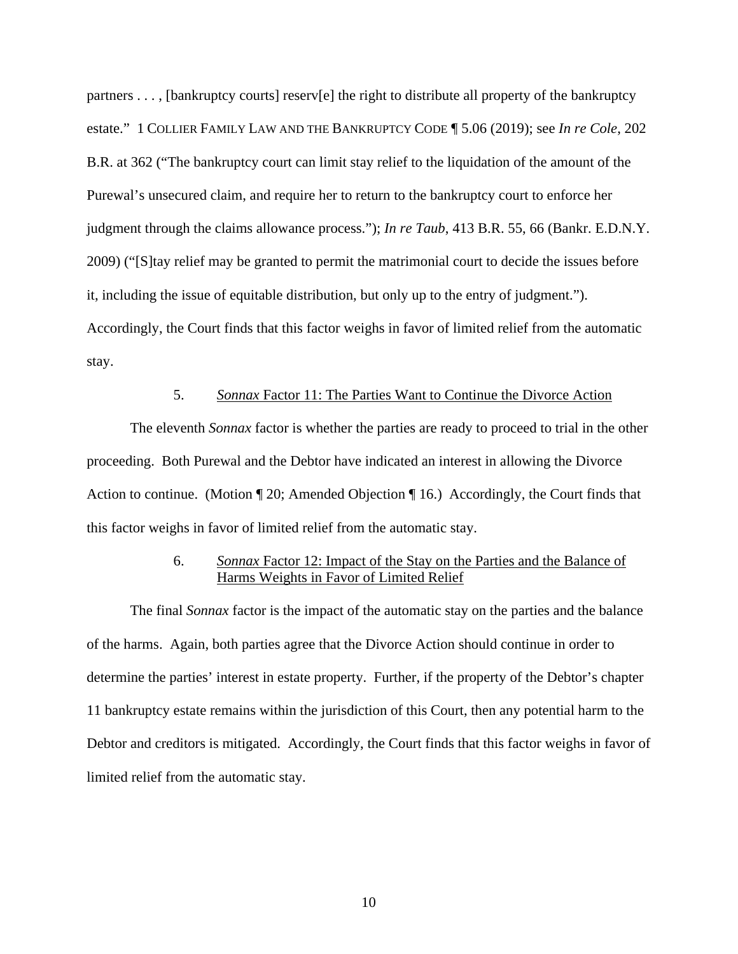partners . . . , [bankruptcy courts] reserv[e] the right to distribute all property of the bankruptcy estate." 1 COLLIER FAMILY LAW AND THE BANKRUPTCY CODE ¶ 5.06 (2019); see *In re Cole*, 202 B.R. at 362 ("The bankruptcy court can limit stay relief to the liquidation of the amount of the Purewal's unsecured claim, and require her to return to the bankruptcy court to enforce her judgment through the claims allowance process."); *In re Taub*, 413 B.R. 55, 66 (Bankr. E.D.N.Y. 2009) ("[S]tay relief may be granted to permit the matrimonial court to decide the issues before it, including the issue of equitable distribution, but only up to the entry of judgment."). Accordingly, the Court finds that this factor weighs in favor of limited relief from the automatic stay.

## 5. *Sonnax* Factor 11: The Parties Want to Continue the Divorce Action

The eleventh *Sonnax* factor is whether the parties are ready to proceed to trial in the other proceeding. Both Purewal and the Debtor have indicated an interest in allowing the Divorce Action to continue. (Motion  $\P$  20; Amended Objection  $\P$  16.) Accordingly, the Court finds that this factor weighs in favor of limited relief from the automatic stay.

## 6. *Sonnax* Factor 12: Impact of the Stay on the Parties and the Balance of Harms Weights in Favor of Limited Relief

The final *Sonnax* factor is the impact of the automatic stay on the parties and the balance of the harms. Again, both parties agree that the Divorce Action should continue in order to determine the parties' interest in estate property. Further, if the property of the Debtor's chapter 11 bankruptcy estate remains within the jurisdiction of this Court, then any potential harm to the Debtor and creditors is mitigated. Accordingly, the Court finds that this factor weighs in favor of limited relief from the automatic stay.